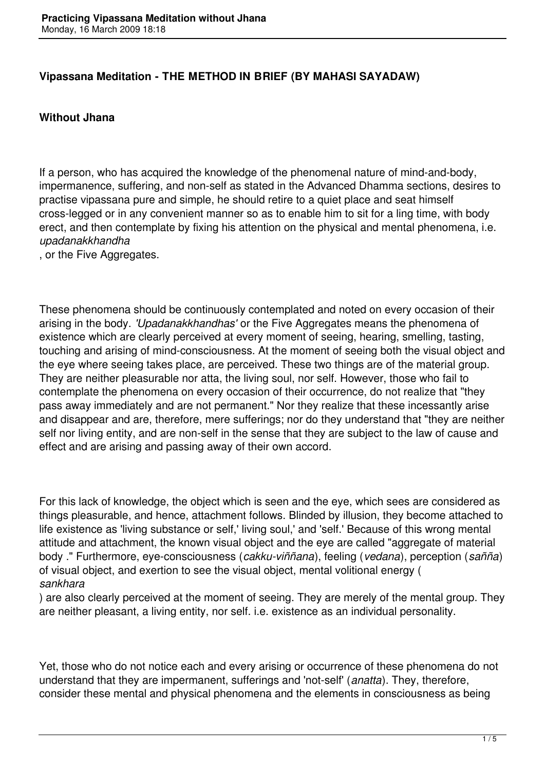## **Vipassana Meditation - THE METHOD IN BRIEF (BY MAHASI SAYADAW)**

## **Without Jhana**

If a person, who has acquired the knowledge of the phenomenal nature of mind-and-body, impermanence, suffering, and non-self as stated in the Advanced Dhamma sections, desires to practise vipassana pure and simple, he should retire to a quiet place and seat himself cross-legged or in any convenient manner so as to enable him to sit for a ling time, with body erect, and then contemplate by fixing his attention on the physical and mental phenomena, i.e. *upadanakkhandha*

, or the Five Aggregates.

These phenomena should be continuously contemplated and noted on every occasion of their arising in the body. *'Upadanakkhandhas'* or the Five Aggregates means the phenomena of existence which are clearly perceived at every moment of seeing, hearing, smelling, tasting, touching and arising of mind-consciousness. At the moment of seeing both the visual object and the eye where seeing takes place, are perceived. These two things are of the material group. They are neither pleasurable nor atta, the living soul, nor self. However, those who fail to contemplate the phenomena on every occasion of their occurrence, do not realize that "they pass away immediately and are not permanent." Nor they realize that these incessantly arise and disappear and are, therefore, mere sufferings; nor do they understand that "they are neither self nor living entity, and are non-self in the sense that they are subject to the law of cause and effect and are arising and passing away of their own accord.

For this lack of knowledge, the object which is seen and the eye, which sees are considered as things pleasurable, and hence, attachment follows. Blinded by illusion, they become attached to life existence as 'living substance or self,' living soul,' and 'self.' Because of this wrong mental attitude and attachment, the known visual object and the eye are called "aggregate of material body ." Furthermore, eye-consciousness (*cakku-viññana*), feeling (*vedana*), perception (*sañña*) of visual object, and exertion to see the visual object, mental volitional energy ( *sankhara*

) are also clearly perceived at the moment of seeing. They are merely of the mental group. They are neither pleasant, a living entity, nor self. i.e. existence as an individual personality.

Yet, those who do not notice each and every arising or occurrence of these phenomena do not understand that they are impermanent, sufferings and 'not-self' (*anatta*). They, therefore, consider these mental and physical phenomena and the elements in consciousness as being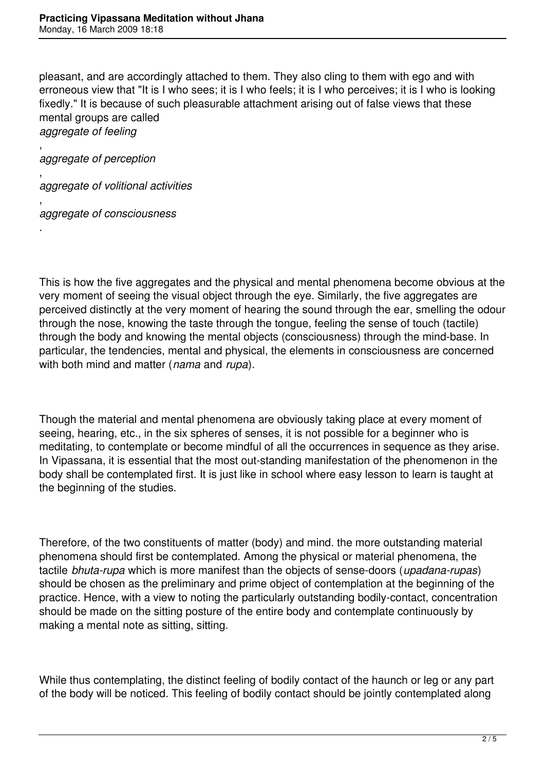pleasant, and are accordingly attached to them. They also cling to them with ego and with erroneous view that "It is I who sees; it is I who feels; it is I who perceives; it is I who is looking fixedly." It is because of such pleasurable attachment arising out of false views that these mental groups are called *aggregate of feeling*

, *aggregate of perception*

, *aggregate of volitional activities* 

, *aggregate of consciousness*

.

This is how the five aggregates and the physical and mental phenomena become obvious at the very moment of seeing the visual object through the eye. Similarly, the five aggregates are perceived distinctly at the very moment of hearing the sound through the ear, smelling the odour through the nose, knowing the taste through the tongue, feeling the sense of touch (tactile) through the body and knowing the mental objects (consciousness) through the mind-base. In particular, the tendencies, mental and physical, the elements in consciousness are concerned with both mind and matter (*nama* and *rupa*).

Though the material and mental phenomena are obviously taking place at every moment of seeing, hearing, etc., in the six spheres of senses, it is not possible for a beginner who is meditating, to contemplate or become mindful of all the occurrences in sequence as they arise. In Vipassana, it is essential that the most out-standing manifestation of the phenomenon in the body shall be contemplated first. It is just like in school where easy lesson to learn is taught at the beginning of the studies.

Therefore, of the two constituents of matter (body) and mind. the more outstanding material phenomena should first be contemplated. Among the physical or material phenomena, the tactile *bhuta-rupa* which is more manifest than the objects of sense-doors (*upadana-rupas*) should be chosen as the preliminary and prime object of contemplation at the beginning of the practice. Hence, with a view to noting the particularly outstanding bodily-contact, concentration should be made on the sitting posture of the entire body and contemplate continuously by making a mental note as sitting, sitting.

While thus contemplating, the distinct feeling of bodily contact of the haunch or leg or any part of the body will be noticed. This feeling of bodily contact should be jointly contemplated along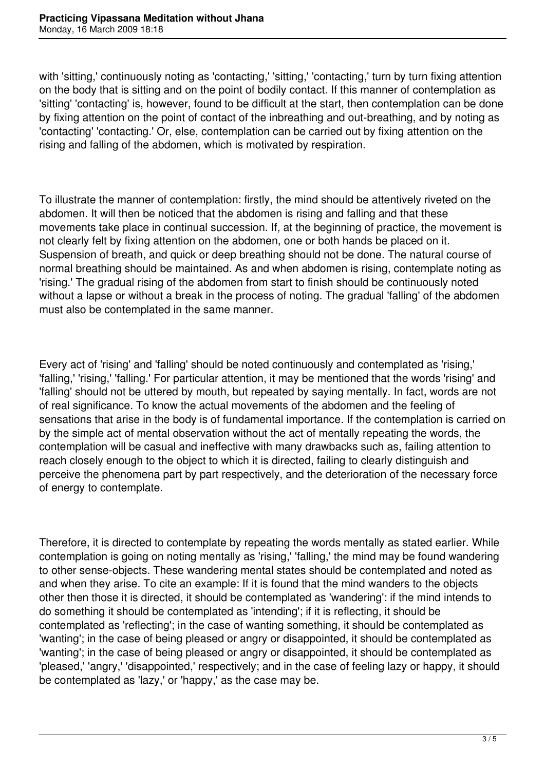with 'sitting,' continuously noting as 'contacting,' 'sitting,' 'contacting,' turn by turn fixing attention on the body that is sitting and on the point of bodily contact. If this manner of contemplation as 'sitting' 'contacting' is, however, found to be difficult at the start, then contemplation can be done by fixing attention on the point of contact of the inbreathing and out-breathing, and by noting as 'contacting' 'contacting.' Or, else, contemplation can be carried out by fixing attention on the rising and falling of the abdomen, which is motivated by respiration.

To illustrate the manner of contemplation: firstly, the mind should be attentively riveted on the abdomen. It will then be noticed that the abdomen is rising and falling and that these movements take place in continual succession. If, at the beginning of practice, the movement is not clearly felt by fixing attention on the abdomen, one or both hands be placed on it. Suspension of breath, and quick or deep breathing should not be done. The natural course of normal breathing should be maintained. As and when abdomen is rising, contemplate noting as 'rising.' The gradual rising of the abdomen from start to finish should be continuously noted without a lapse or without a break in the process of noting. The gradual 'falling' of the abdomen must also be contemplated in the same manner.

Every act of 'rising' and 'falling' should be noted continuously and contemplated as 'rising,' 'falling,' 'rising,' 'falling.' For particular attention, it may be mentioned that the words 'rising' and 'falling' should not be uttered by mouth, but repeated by saying mentally. In fact, words are not of real significance. To know the actual movements of the abdomen and the feeling of sensations that arise in the body is of fundamental importance. If the contemplation is carried on by the simple act of mental observation without the act of mentally repeating the words, the contemplation will be casual and ineffective with many drawbacks such as, failing attention to reach closely enough to the object to which it is directed, failing to clearly distinguish and perceive the phenomena part by part respectively, and the deterioration of the necessary force of energy to contemplate.

Therefore, it is directed to contemplate by repeating the words mentally as stated earlier. While contemplation is going on noting mentally as 'rising,' 'falling,' the mind may be found wandering to other sense-objects. These wandering mental states should be contemplated and noted as and when they arise. To cite an example: If it is found that the mind wanders to the objects other then those it is directed, it should be contemplated as 'wandering': if the mind intends to do something it should be contemplated as 'intending'; if it is reflecting, it should be contemplated as 'reflecting'; in the case of wanting something, it should be contemplated as 'wanting'; in the case of being pleased or angry or disappointed, it should be contemplated as 'wanting'; in the case of being pleased or angry or disappointed, it should be contemplated as 'pleased,' 'angry,' 'disappointed,' respectively; and in the case of feeling lazy or happy, it should be contemplated as 'lazy,' or 'happy,' as the case may be.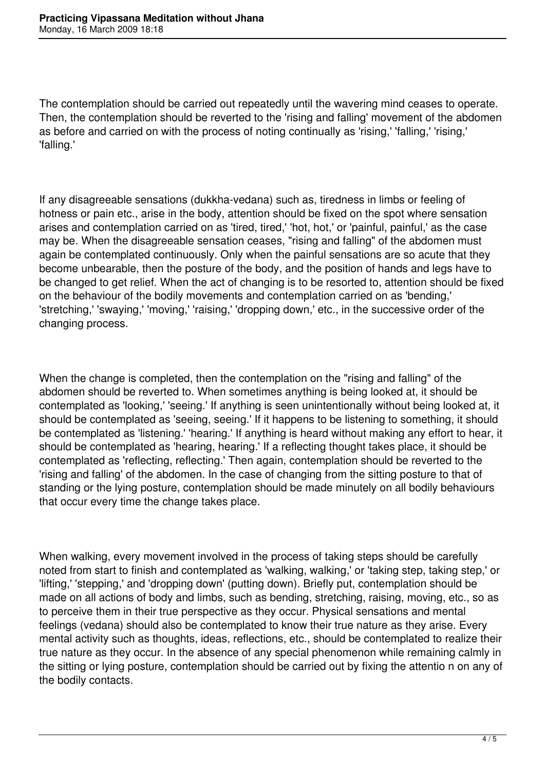The contemplation should be carried out repeatedly until the wavering mind ceases to operate. Then, the contemplation should be reverted to the 'rising and falling' movement of the abdomen as before and carried on with the process of noting continually as 'rising,' 'falling,' 'rising,' 'falling.'

If any disagreeable sensations (dukkha-vedana) such as, tiredness in limbs or feeling of hotness or pain etc., arise in the body, attention should be fixed on the spot where sensation arises and contemplation carried on as 'tired, tired,' 'hot, hot,' or 'painful, painful,' as the case may be. When the disagreeable sensation ceases, "rising and falling" of the abdomen must again be contemplated continuously. Only when the painful sensations are so acute that they become unbearable, then the posture of the body, and the position of hands and legs have to be changed to get relief. When the act of changing is to be resorted to, attention should be fixed on the behaviour of the bodily movements and contemplation carried on as 'bending,' 'stretching,' 'swaying,' 'moving,' 'raising,' 'dropping down,' etc., in the successive order of the changing process.

When the change is completed, then the contemplation on the "rising and falling" of the abdomen should be reverted to. When sometimes anything is being looked at, it should be contemplated as 'looking,' 'seeing.' If anything is seen unintentionally without being looked at, it should be contemplated as 'seeing, seeing.' If it happens to be listening to something, it should be contemplated as 'listening.' 'hearing.' If anything is heard without making any effort to hear, it should be contemplated as 'hearing, hearing.' If a reflecting thought takes place, it should be contemplated as 'reflecting, reflecting.' Then again, contemplation should be reverted to the 'rising and falling' of the abdomen. In the case of changing from the sitting posture to that of standing or the lying posture, contemplation should be made minutely on all bodily behaviours that occur every time the change takes place.

When walking, every movement involved in the process of taking steps should be carefully noted from start to finish and contemplated as 'walking, walking,' or 'taking step, taking step,' or 'lifting,' 'stepping,' and 'dropping down' (putting down). Briefly put, contemplation should be made on all actions of body and limbs, such as bending, stretching, raising, moving, etc., so as to perceive them in their true perspective as they occur. Physical sensations and mental feelings (vedana) should also be contemplated to know their true nature as they arise. Every mental activity such as thoughts, ideas, reflections, etc., should be contemplated to realize their true nature as they occur. In the absence of any special phenomenon while remaining calmly in the sitting or lying posture, contemplation should be carried out by fixing the attentio n on any of the bodily contacts.